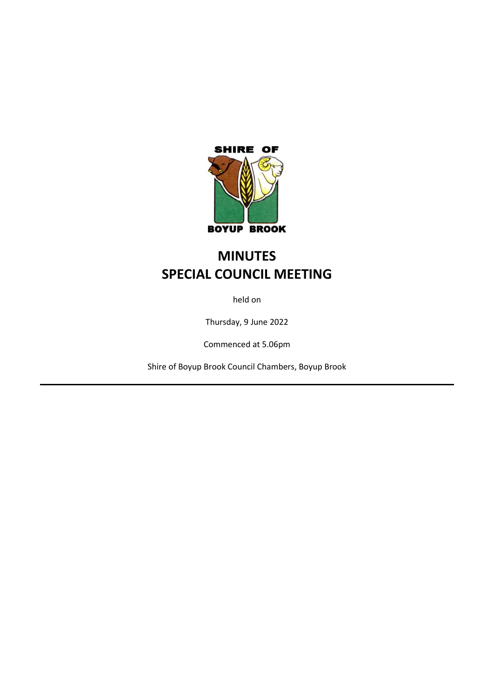

# **MINUTES SPECIAL COUNCIL MEETING**

held on

Thursday, 9 June 2022

Commenced at 5.06pm

Shire of Boyup Brook Council Chambers, Boyup Brook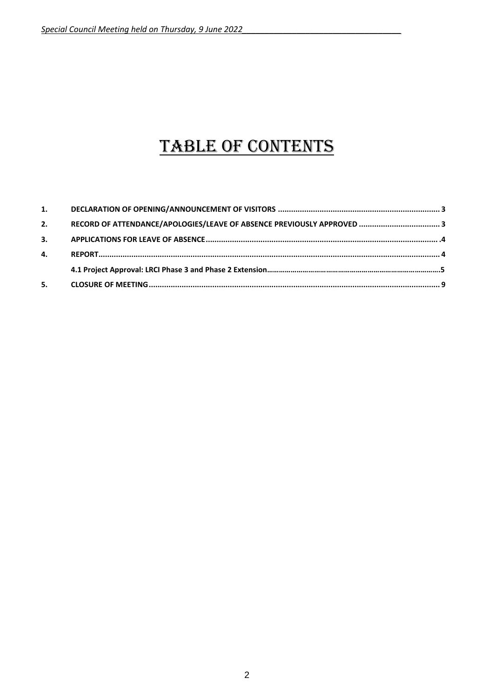# TABLE OF CONTENTS

| 2. |  |
|----|--|
| 3. |  |
| 4. |  |
|    |  |
| 5. |  |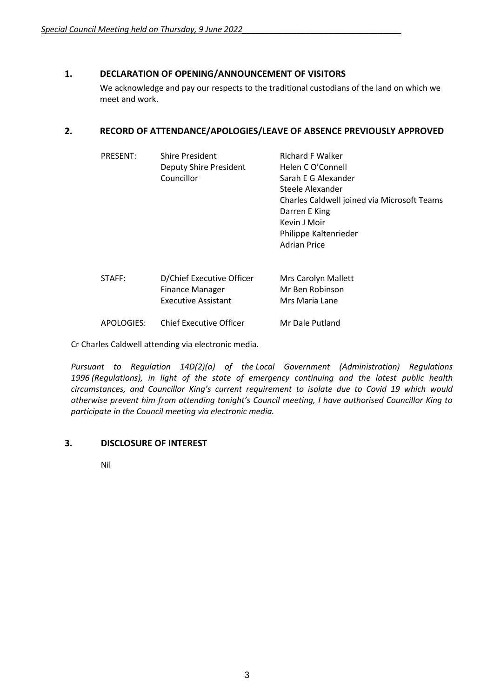# <span id="page-2-0"></span>**1. DECLARATION OF OPENING/ANNOUNCEMENT OF VISITORS**

We acknowledge and pay our respects to the traditional custodians of the land on which we meet and work.

# <span id="page-2-1"></span>**2. RECORD OF ATTENDANCE/APOLOGIES/LEAVE OF ABSENCE PREVIOUSLY APPROVED**

| <b>PRESENT:</b> | <b>Shire President</b><br>Deputy Shire President | <b>Richard F Walker</b><br>Helen C O'Connell |
|-----------------|--------------------------------------------------|----------------------------------------------|
|                 | Councillor                                       | Sarah E G Alexander                          |
|                 |                                                  | Steele Alexander                             |
|                 |                                                  | Charles Caldwell joined via Microsoft Teams  |
|                 |                                                  | Darren E King                                |
|                 |                                                  | Kevin J Moir                                 |
|                 |                                                  | Philippe Kaltenrieder                        |
|                 |                                                  | <b>Adrian Price</b>                          |
|                 |                                                  |                                              |
| STAFF:          | D/Chief Executive Officer                        | Mrs Carolyn Mallett                          |
|                 | <b>Finance Manager</b>                           | Mr Ben Robinson                              |
|                 | <b>Executive Assistant</b>                       | Mrs Maria Lane                               |
| APOLOGIES:      | <b>Chief Executive Officer</b>                   | Mr Dale Putland                              |

Cr Charles Caldwell attending via electronic media.

*Pursuant to Regulation 14D(2)(a) of the Local Government (Administration) Regulations 1996 (Regulations), in light of the state of emergency continuing and the latest public health circumstances, and Councillor King's current requirement to isolate due to Covid 19 which would otherwise prevent him from attending tonight's Council meeting, I have authorised Councillor King to participate in the Council meeting via electronic media.*

# **3. DISCLOSURE OF INTEREST**

Nil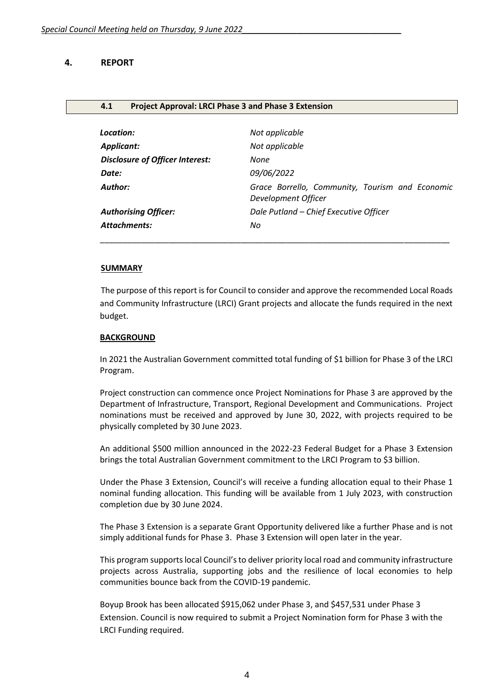# **4. REPORT**

#### **4.1 Project Approval: LRCI Phase 3 and Phase 3 Extension**

| Location:                              | Not applicable                                                         |
|----------------------------------------|------------------------------------------------------------------------|
| Applicant:                             | Not applicable                                                         |
| <b>Disclosure of Officer Interest:</b> | None                                                                   |
| Date:                                  | 09/06/2022                                                             |
| Author:                                | Grace Borrello, Community, Tourism and Economic<br>Development Officer |
| <b>Authorising Officer:</b>            | Dale Putland - Chief Executive Officer                                 |
| <b>Attachments:</b>                    | No                                                                     |
|                                        |                                                                        |

#### **SUMMARY**

The purpose of this report is for Council to consider and approve the recommended Local Roads and Community Infrastructure (LRCI) Grant projects and allocate the funds required in the next budget.

#### **BACKGROUND**

In 2021 the Australian Government committed total funding of \$1 billion for Phase 3 of the LRCI Program.

Project construction can commence once Project Nominations for Phase 3 are approved by the Department of Infrastructure, Transport, Regional Development and Communications. Project nominations must be received and approved by June 30, 2022, with projects required to be physically completed by 30 June 2023.

An additional \$500 million announced in the 2022-23 Federal Budget for a Phase 3 Extension brings the total Australian Government commitment to the LRCI Program to \$3 billion.

Under the Phase 3 Extension, Council's will receive a funding allocation equal to their Phase 1 nominal funding allocation. This funding will be available from 1 July 2023, with construction completion due by 30 June 2024.

The Phase 3 Extension is a separate Grant Opportunity delivered like a further Phase and is not simply additional funds for Phase 3. Phase 3 Extension will open later in the year.

This program supports local Council's to deliver priority local road and community infrastructure projects across Australia, supporting jobs and the resilience of local economies to help communities bounce back from the COVID-19 pandemic.

Boyup Brook has been allocated \$915,062 under Phase 3, and \$457,531 under Phase 3 Extension. Council is now required to submit a Project Nomination form for Phase 3 with the LRCI Funding required.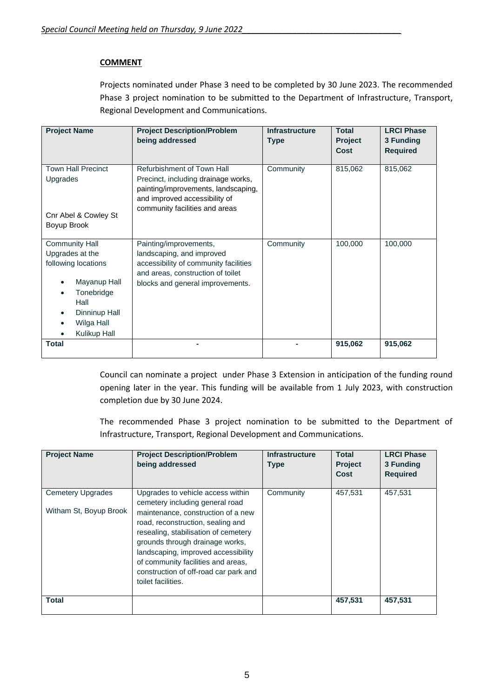# **COMMENT**

Projects nominated under Phase 3 need to be completed by 30 June 2023. The recommended Phase 3 project nomination to be submitted to the Department of Infrastructure, Transport, Regional Development and Communications.

| <b>Project Name</b>                                                                                                                                  | <b>Project Description/Problem</b><br>being addressed                                                                                                                       | <b>Infrastructure</b><br><b>Type</b> | <b>Total</b><br><b>Project</b><br>Cost | <b>LRCI Phase</b><br>3 Funding<br><b>Required</b> |
|------------------------------------------------------------------------------------------------------------------------------------------------------|-----------------------------------------------------------------------------------------------------------------------------------------------------------------------------|--------------------------------------|----------------------------------------|---------------------------------------------------|
| <b>Town Hall Precinct</b><br><b>Upgrades</b><br>Cnr Abel & Cowley St<br>Boyup Brook                                                                  | Refurbishment of Town Hall<br>Precinct, including drainage works,<br>painting/improvements, landscaping,<br>and improved accessibility of<br>community facilities and areas | Community                            | 815,062                                | 815,062                                           |
| <b>Community Hall</b><br>Upgrades at the<br>following locations<br>Mayanup Hall<br>Tonebridge<br>Hall<br>Dinninup Hall<br>Wilga Hall<br>Kulikup Hall | Painting/improvements,<br>landscaping, and improved<br>accessibility of community facilities<br>and areas, construction of toilet<br>blocks and general improvements.       | Community                            | 100,000                                | 100,000                                           |
| <b>Total</b>                                                                                                                                         |                                                                                                                                                                             |                                      | 915,062                                | 915,062                                           |

Council can nominate a project under Phase 3 Extension in anticipation of the funding round opening later in the year. This funding will be available from 1 July 2023, with construction completion due by 30 June 2024.

The recommended Phase 3 project nomination to be submitted to the Department of Infrastructure, Transport, Regional Development and Communications.

| <b>Project Name</b>                                | <b>Project Description/Problem</b><br>being addressed                                                                                                                                                                                                                                                                                                                  | <b>Infrastructure</b><br><b>Type</b> | Total<br><b>Project</b><br>Cost | <b>LRCI Phase</b><br>3 Funding<br><b>Required</b> |
|----------------------------------------------------|------------------------------------------------------------------------------------------------------------------------------------------------------------------------------------------------------------------------------------------------------------------------------------------------------------------------------------------------------------------------|--------------------------------------|---------------------------------|---------------------------------------------------|
| <b>Cemetery Upgrades</b><br>Witham St, Boyup Brook | Upgrades to vehicle access within<br>cemetery including general road<br>maintenance, construction of a new<br>road, reconstruction, sealing and<br>resealing, stabilisation of cemetery<br>grounds through drainage works,<br>landscaping, improved accessibility<br>of community facilities and areas,<br>construction of off-road car park and<br>toilet facilities. | Community                            | 457,531                         | 457,531                                           |
| <b>Total</b>                                       |                                                                                                                                                                                                                                                                                                                                                                        |                                      | 457,531                         | 457,531                                           |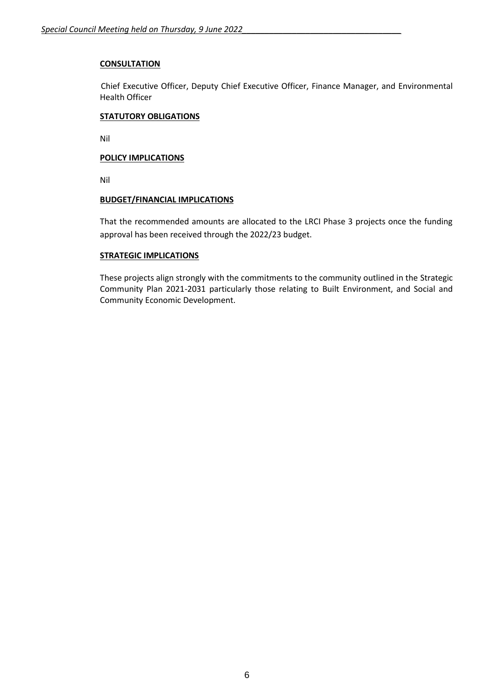# **CONSULTATION**

Chief Executive Officer, Deputy Chief Executive Officer, Finance Manager, and Environmental Health Officer

#### **STATUTORY OBLIGATIONS**

Nil

# **POLICY IMPLICATIONS**

Nil

# **BUDGET/FINANCIAL IMPLICATIONS**

That the recommended amounts are allocated to the LRCI Phase 3 projects once the funding approval has been received through the 2022/23 budget.

# **STRATEGIC IMPLICATIONS**

These projects align strongly with the commitments to the community outlined in the Strategic Community Plan 2021-2031 particularly those relating to Built Environment, and Social and Community Economic Development.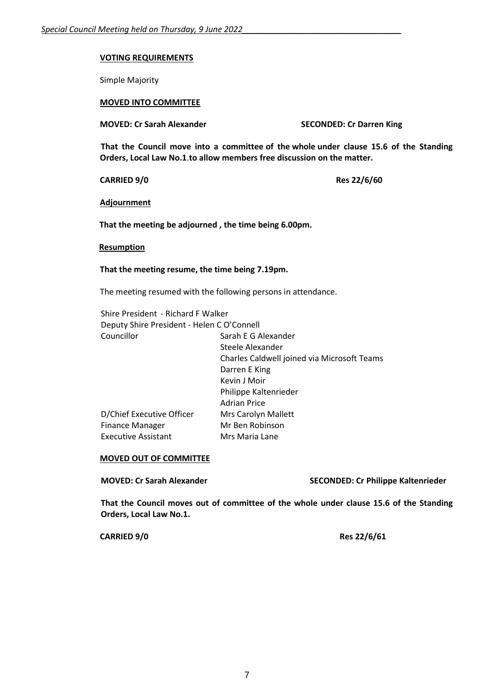#### **VOTING REQUIREMENTS**

Simple Majority

# **MOVED INTO COMMITTEE**

**MOVED: Cr Sarah Alexander SECONDED: Cr Darren King**

**That the Council move into a committee of the whole under clause 15.6 of the Standing Orders, Local Law No.1**.**to allow members free discussion on the matter.**

**CARRIED 9/0 Res 22/6/60**

**Adjournment**

**That the meeting be adjourned , the time being 6.00pm.**

#### **Resumption**

#### **That the meeting resume, the time being 7.19pm.**

The meeting resumed with the following persons in attendance.

| Shire President - Richard F Walker         |                                             |  |
|--------------------------------------------|---------------------------------------------|--|
| Deputy Shire President - Helen C O'Connell |                                             |  |
| Councillor                                 | Sarah E G Alexander                         |  |
|                                            | Steele Alexander                            |  |
|                                            | Charles Caldwell joined via Microsoft Teams |  |
|                                            | Darren E King                               |  |
|                                            | Kevin J Moir                                |  |
|                                            | Philippe Kaltenrieder                       |  |
|                                            | <b>Adrian Price</b>                         |  |
| D/Chief Executive Officer                  | Mrs Carolyn Mallett                         |  |
| Finance Manager                            | Mr Ben Robinson                             |  |
| <b>Executive Assistant</b>                 | Mrs Maria Lane                              |  |
|                                            |                                             |  |

#### **MOVED OUT OF COMMITTEE**

**MOVED: Cr Sarah Alexander SECONDED: Cr Philippe Kaltenrieder**

**That the Council moves out of committee of the whole under clause 15.6 of the Standing Orders, Local Law No.1.**

**CARRIED 9/0 Res 22/6/61**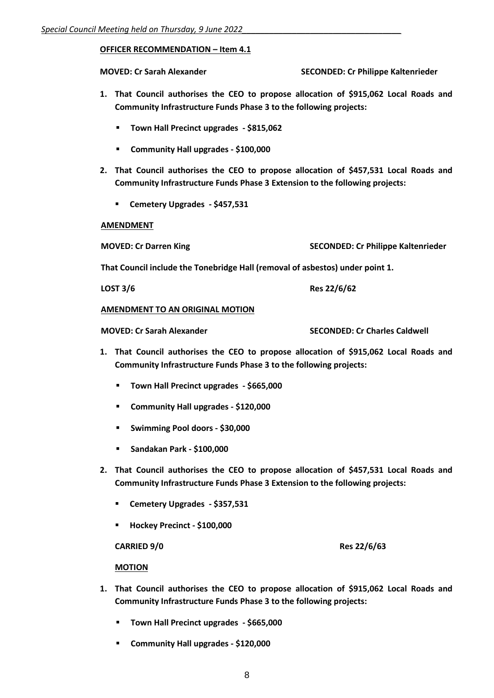# **OFFICER RECOMMENDATION – Item 4.1**

**MOVED: Cr Sarah Alexander SECONDED: Cr Philippe Kaltenrieder**

- **1. That Council authorises the CEO to propose allocation of \$915,062 Local Roads and Community Infrastructure Funds Phase 3 to the following projects:**
	- **Town Hall Precinct upgrades - \$815,062**
	- **Community Hall upgrades - \$100,000**
- **2. That Council authorises the CEO to propose allocation of \$457,531 Local Roads and Community Infrastructure Funds Phase 3 Extension to the following projects:**
	- **Cemetery Upgrades - \$457,531**

#### **AMENDMENT**

**MOVED: Cr Darren King SECONDED: Cr Philippe Kaltenrieder**

**That Council include the Tonebridge Hall (removal of asbestos) under point 1.**

**LOST 3/6 Res 22/6/62**

# **AMENDMENT TO AN ORIGINAL MOTION**

**MOVED: Cr Sarah Alexander SECONDED: Cr Charles Caldwell**

- **1. That Council authorises the CEO to propose allocation of \$915,062 Local Roads and Community Infrastructure Funds Phase 3 to the following projects:**
	- **Town Hall Precinct upgrades - \$665,000**
	- **Community Hall upgrades - \$120,000**
	- **Swimming Pool doors - \$30,000**
	- **Sandakan Park - \$100,000**
- **2. That Council authorises the CEO to propose allocation of \$457,531 Local Roads and Community Infrastructure Funds Phase 3 Extension to the following projects:**
	- **Cemetery Upgrades - \$357,531**
	- **Hockey Precinct - \$100,000**

**CARRIED 9/0 Res 22/6/63**

#### **MOTION**

- **1. That Council authorises the CEO to propose allocation of \$915,062 Local Roads and Community Infrastructure Funds Phase 3 to the following projects:**
	- **Town Hall Precinct upgrades - \$665,000**
	- **Community Hall upgrades - \$120,000**